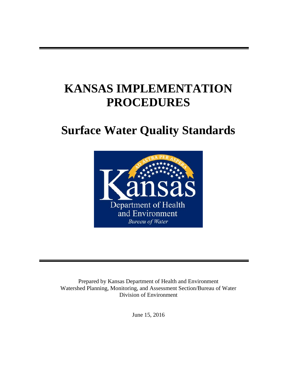# **KANSAS IMPLEMENTATION PROCEDURES**

## **Surface Water Quality Standards**



Prepared by Kansas Department of Health and Environment Watershed Planning, Monitoring, and Assessment Section/Bureau of Water Division of Environment

June 15, 2016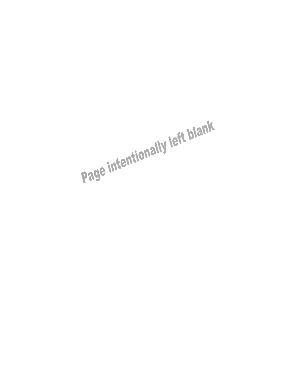Page intentionally left blank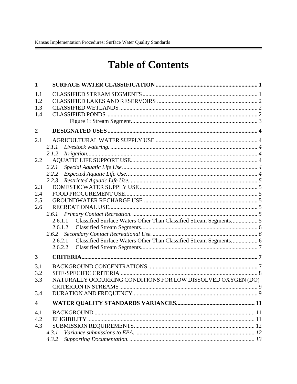### **Table of Contents**

| 1                       |                                                                              |
|-------------------------|------------------------------------------------------------------------------|
| 1.1                     |                                                                              |
| 1.2                     |                                                                              |
| 1.3                     |                                                                              |
| 1.4                     |                                                                              |
|                         |                                                                              |
| $\overline{2}$          |                                                                              |
| 2.1                     |                                                                              |
|                         | 2.1.1                                                                        |
|                         | 2.1.2                                                                        |
| 2.2                     |                                                                              |
|                         | 2.2.1                                                                        |
|                         | 2.2.2                                                                        |
|                         |                                                                              |
| 2.3                     |                                                                              |
| 2.4                     |                                                                              |
| 2.5                     |                                                                              |
| 2.6                     |                                                                              |
|                         | 2.6.1.1 Classified Surface Waters Other Than Classified Stream Segments 5    |
|                         | 2.6.1.2                                                                      |
|                         |                                                                              |
|                         | Classified Surface Waters Other Than Classified Stream Segments 6<br>2.6.2.1 |
|                         |                                                                              |
| 3                       |                                                                              |
| 3.1                     |                                                                              |
| 3.2                     |                                                                              |
| 3.3                     | NATURALLY OCCURRING CONDITIONS FOR LOW DISSOLVED OXYGEN (DO)                 |
|                         |                                                                              |
| 3.4                     |                                                                              |
| $\overline{\mathbf{4}}$ |                                                                              |
| 4.1                     |                                                                              |
| 4.2                     |                                                                              |
| 4.3                     |                                                                              |
|                         | 4.3.1                                                                        |
|                         | 4.3.2                                                                        |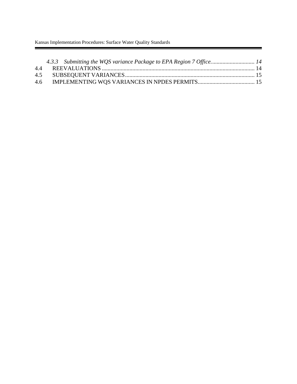Kansas Implementation Procedures: Surface Water Quality Standards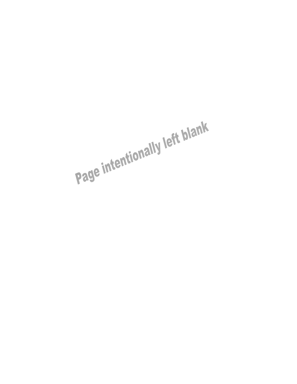Page intentionally left blank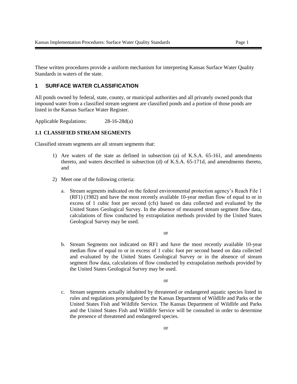These written procedures provide a uniform mechanism for interpreting Kansas Surface Water Quality Standards in waters of the state.

#### <span id="page-5-0"></span>**1 SURFACE WATER CLASSIFICATION**

All ponds owned by federal, state, county, or municipal authorities and all privately owned ponds that impound water from a classified stream segment are classified ponds and a portion of those ponds are listed in the Kansas Surface Water Register.

Applicable Regulations: 28-16-28d(a)

#### <span id="page-5-1"></span>**1.1 CLASSIFIED STREAM SEGMENTS**

Classified stream segments are all stream segments that:

- 1) Are waters of the state as defined in subsection (a) of K.S.A. 65-161, and amendments thereto, and waters described in subsection (d) of K.S.A. 65-171d, and amendments thereto, and
- 2) Meet one of the following criteria:
	- a. Stream segments indicated on the federal environmental protection agency's Reach File 1 (RF1) (1982) and have the most recently available 10-year median flow of equal to or in excess of 1 cubic foot per second (cfs) based on data collected and evaluated by the United States Geological Survey. In the absence of measured stream segment flow data, calculations of flow conducted by extrapolation methods provided by the United States Geological Survey may be used.

or

b. Stream Segments not indicated on RF1 and have the most recently available 10-year median flow of equal to or in excess of 1 cubic foot per second based on data collected and evaluated by the United States Geological Survey or in the absence of stream segment flow data, calculations of flow conducted by extrapolation methods provided by the United States Geological Survey may be used.

or

c. Stream segments actually inhabited by threatened or endangered aquatic species listed in rules and regulations promulgated by the Kansas Department of Wildlife and Parks or the United States Fish and Wildlife Service. The Kansas Department of Wildlife and Parks and the United States Fish and Wildlife Service will be consulted in order to determine the presence of threatened and endangered species.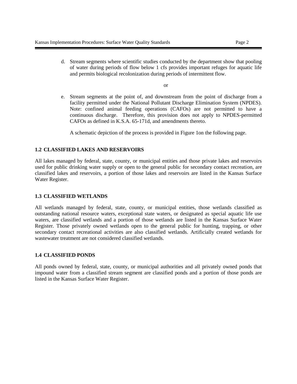- 
- d. Stream segments where scientific studies conducted by the department show that pooling of water during periods of flow below 1 cfs provides important refuges for aquatic life and permits biological recolonization during periods of intermittent flow.

or

e. Stream segments at the point of, and downstream from the point of discharge from a facility permitted under the National Pollutant Discharge Elimination System (NPDES). Note: confined animal feeding operations (CAFOs) are not permitted to have a continuous discharge. Therefore, this provision does not apply to NPDES-permitted CAFOs as defined in K.S.A. 65-171d, and amendments thereto.

A schematic depiction of the process is provided in Figure 1on the following page.

#### <span id="page-6-0"></span>**1.2 CLASSIFIED LAKES AND RESERVOIRS**

All lakes managed by federal, state, county, or municipal entities and those private lakes and reservoirs used for public drinking water supply or open to the general public for secondary contact recreation, are classified lakes and reservoirs, a portion of those lakes and reservoirs are listed in the Kansas Surface Water Register.

#### <span id="page-6-1"></span>**1.3 CLASSIFIED WETLANDS**

All wetlands managed by federal, state, county, or municipal entities, those wetlands classified as outstanding national resource waters, exceptional state waters, or designated as special aquatic life use waters, are classified wetlands and a portion of those wetlands are listed in the Kansas Surface Water Register. Those privately owned wetlands open to the general public for hunting, trapping, or other secondary contact recreational activities are also classified wetlands. Artificially created wetlands for wastewater treatment are not considered classified wetlands.

#### <span id="page-6-2"></span>**1.4 CLASSIFIED PONDS**

All ponds owned by federal, state, county, or municipal authorities and all privately owned ponds that impound water from a classified stream segment are classified ponds and a portion of those ponds are listed in the Kansas Surface Water Register.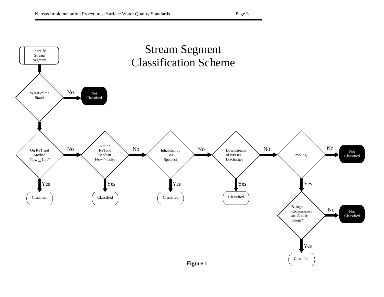<span id="page-7-0"></span>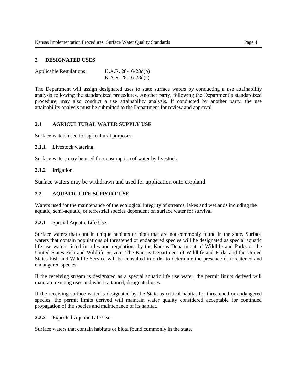#### <span id="page-8-0"></span>**2 DESIGNATED USES**

| <b>Applicable Regulations:</b> | K.A.R. $28-16-28d(b)$ |
|--------------------------------|-----------------------|
|                                | K.A.R. $28-16-28d(c)$ |

The Department will assign designated uses to state surface waters by conducting a use attainability analysis following the standardized procedures. Another party, following the Department's standardized procedure, may also conduct a use attainability analysis. If conducted by another party, the use attainability analysis must be submitted to the Department for review and approval.

#### <span id="page-8-1"></span>**2.1 AGRICULTURAL WATER SUPPLY USE**

Surface waters used for agricultural purposes.

#### <span id="page-8-2"></span>**2.1.1** Livestock watering.

Surface waters may be used for consumption of water by livestock.

#### <span id="page-8-3"></span>**2.1.2** Irrigation.

Surface waters may be withdrawn and used for application onto cropland.

#### <span id="page-8-4"></span>**2.2 AQUATIC LIFE SUPPORT USE**

Waters used for the maintenance of the ecological integrity of streams, lakes and wetlands including the aquatic, semi-aquatic, or terrestrial species dependent on surface water for survival

<span id="page-8-5"></span>**2.2.1** Special Aquatic Life Use.

Surface waters that contain unique habitats or biota that are not commonly found in the state. Surface waters that contain populations of threatened or endangered species will be designated as special aquatic life use waters listed in rules and regulations by the Kansas Department of Wildlife and Parks or the United States Fish and Wildlife Service. The Kansas Department of Wildlife and Parks and the United States Fish and Wildlife Service will be consulted in order to determine the presence of threatened and endangered species.

If the receiving stream is designated as a special aquatic life use water, the permit limits derived will maintain existing uses and where attained, designated uses.

If the receiving surface water is designated by the State as critical habitat for threatened or endangered species, the permit limits derived will maintain water quality considered acceptable for continued propagation of the species and maintenance of its habitat.

<span id="page-8-6"></span>**2.2.2** Expected Aquatic Life Use.

Surface waters that contain habitats or biota found commonly in the state.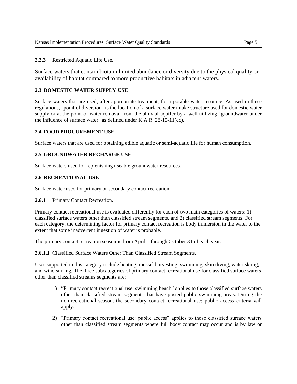#### <span id="page-9-0"></span>**2.2.3** Restricted Aquatic Life Use.

Surface waters that contain biota in limited abundance or diversity due to the physical quality or availability of habitat compared to more productive habitats in adjacent waters.

#### <span id="page-9-1"></span>**2.3 DOMESTIC WATER SUPPLY USE**

Surface waters that are used, after appropriate treatment, for a potable water resource. As used in these regulations, "point of diversion" is the location of a surface water intake structure used for domestic water supply or at the point of water removal from the alluvial aquifer by a well utilizing "groundwater under the influence of surface water" as defined under K.A.R. 28-15-11(cc).

#### <span id="page-9-2"></span>**2.4 FOOD PROCUREMENT USE**

Surface waters that are used for obtaining edible aquatic or semi-aquatic life for human consumption.

#### <span id="page-9-3"></span>**2.5 GROUNDWATER RECHARGE USE**

Surface waters used for replenishing useable groundwater resources.

#### <span id="page-9-4"></span>**2.6 RECREATIONAL USE**

Surface water used for primary or secondary contact recreation.

#### <span id="page-9-5"></span>**2.6.1** Primary Contact Recreation.

Primary contact recreational use is evaluated differently for each of two main categories of waters: 1) classified surface waters other than classified stream segments, and 2) classified stream segments. For each category, the determining factor for primary contact recreation is body immersion in the water to the extent that some inadvertent ingestion of water is probable.

The primary contact recreation season is from April 1 through October 31 of each year.

<span id="page-9-6"></span>**2.6.1.1** Classified Surface Waters Other Than Classified Stream Segments.

Uses supported in this category include boating, mussel harvesting, swimming, skin diving, water skiing, and wind surfing. The three subcategories of primary contact recreational use for classified surface waters other than classified streams segments are:

- 1) "Primary contact recreational use: swimming beach" applies to those classified surface waters other than classified stream segments that have posted public swimming areas. During the non-recreational season, the secondary contact recreational use: public access criteria will apply.
- 2) "Primary contact recreational use: public access" applies to those classified surface waters other than classified stream segments where full body contact may occur and is by law or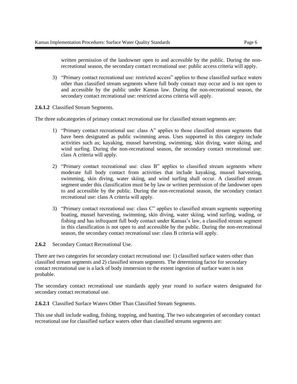written permission of the landowner open to and accessible by the public. During the nonrecreational season, the secondary contact recreational use: public access criteria will apply.

- 3) "Primary contact recreational use: restricted access" applies to those classified surface waters other than classified stream segments where full body contact may occur and is not open to and accessible by the public under Kansas law. During the non-recreational season, the secondary contact recreational use: restricted access criteria will apply.
- <span id="page-10-0"></span>**2.6.1.2** Classified Stream Segments.

The three subcategories of primary contact recreational use for classified stream segments are:

- 1) "Primary contact recreational use: class A" applies to those classified stream segments that have been designated as public swimming areas. Uses supported in this category include activities such as; kayaking, mussel harvesting, swimming, skin diving, water skiing, and wind surfing. During the non-recreational season, the secondary contact recreational use: class A criteria will apply.
- 2) "Primary contact recreational use: class B" applies to classified stream segments where moderate full body contact from activities that include kayaking, mussel harvesting, swimming, skin diving, water skiing, and wind surfing shall occur. A classified stream segment under this classification must be by law or written permission of the landowner open to and accessible by the public. During the non-recreational season, the secondary contact recreational use: class A criteria will apply.
- 3) "Primary contact recreational use: class C" applies to classified stream segments supporting boating, mussel harvesting, swimming, skin diving, water skiing, wind surfing, wading, or fishing and has infrequent full body contact under Kansas's law, a classified stream segment in this classification is not open to and accessible by the public. During the non-recreational season, the secondary contact recreational use: class B criteria will apply.

<span id="page-10-1"></span>**2.6.2** Secondary Contact Recreational Use.

There are two categories for secondary contact recreational use: 1) classified surface waters other than classified stream segments and 2) classified stream segments. The determining factor for secondary contact recreational use is a lack of body immersion to the extent ingestion of surface water is not probable.

The secondary contact recreational use standards apply year round to surface waters designated for secondary contact recreational use.

<span id="page-10-2"></span>**2.6.2.1** Classified Surface Waters Other Than Classified Stream Segments.

This use shall include wading, fishing, trapping, and hunting. The two subcategories of secondary contact recreational use for classified surface waters other than classified streams segments are: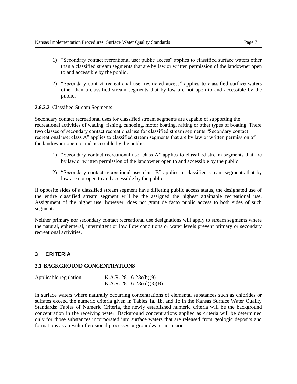- 1) "Secondary contact recreational use: public access" applies to classified surface waters other than a classified stream segments that are by law or written permission of the landowner open to and accessible by the public.
- 2) "Secondary contact recreational use: restricted access" applies to classified surface waters other than a classified stream segments that by law are not open to and accessible by the public.

<span id="page-11-0"></span>**2.6.2.2** Classified Stream Segments.

Secondary contact recreational uses for classified stream segments are capable of supporting the recreational activities of wading, fishing, canoeing, motor boating, rafting or other types of boating. There two classes of secondary contact recreational use for classified stream segments "Secondary contact recreational use: class A" applies to classified stream segments that are by law or written permission of the landowner open to and accessible by the public.

- 1) "Secondary contact recreational use: class A" applies to classified stream segments that are by law or written permission of the landowner open to and accessible by the public.
- 2) "Secondary contact recreational use: class B" applies to classified stream segments that by law are not open to and accessible by the public.

If opposite sides of a classified stream segment have differing public access status, the designated use of the entire classified stream segment will be the assigned the highest attainable recreational use. Assignment of the higher use, however, does not grant de facto public access to both sides of such segment.

Neither primary nor secondary contact recreational use designations will apply to stream segments where the natural, ephemeral, intermittent or low flow conditions or water levels prevent primary or secondary recreational activities.

#### <span id="page-11-1"></span>**3 CRITERIA**

#### <span id="page-11-2"></span>**3.1 BACKGROUND CONCENTRATIONS**

| Applicable regulation: | K.A.R. $28-16-28e(b)(9)$    |
|------------------------|-----------------------------|
|                        | K.A.R. $28-16-28e(d)(3)(B)$ |

In surface waters where naturally occurring concentrations of elemental substances such as chlorides or sulfates exceed the numeric criteria given in Tables 1a, 1b, and 1c in the Kansas Surface Water Quality Standards: Tables of Numeric Criteria, the newly established numeric criteria will be the background concentration in the receiving water. Background concentrations applied as criteria will be determined only for those substances incorporated into surface waters that are released from geologic deposits and formations as a result of erosional processes or groundwater intrusions.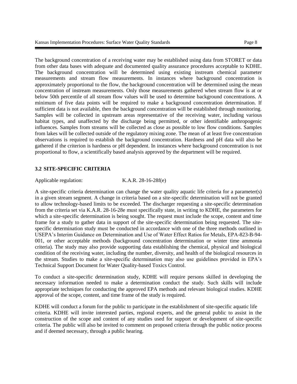The background concentration of a receiving water may be established using data from STORET or data from other data bases with adequate and documented quality assurance procedures acceptable to KDHE. The background concentration will be determined using existing instream chemical parameter measurements and stream flow measurements. In instances where background concentration is approximately proportional to the flow, the background concentration will be determined using the mean concentration of instream measurements. Only those measurements gathered when stream flow is at or below 50th percentile of all stream flow values will be used to determine background concentrations. A minimum of five data points will be required to make a background concentration determination. If sufficient data is not available, then the background concentration will be established through monitoring. Samples will be collected in upstream areas representative of the receiving water, including various habitat types, and unaffected by the discharge being permitted, or other identifiable anthropogenic influences. Samples from streams will be collected as close as possible to low flow conditions. Samples from lakes will be collected outside of the regulatory mixing zone. The mean of at least five concentration observations is required to establish the background concentration. Hardness and pH data will also be gathered if the criterion is hardness or pH dependent. In instances where background concentration is not proportional to flow, a scientifically based analysis approved by the department will be required.

#### <span id="page-12-0"></span>**3.2 SITE-SPECIFIC CRITERIA**

Applicable regulation: K.A.R. 28-16-28f(e)

A site-specific criteria determination can change the water quality aquatic life criteria for a parameter(s) in a given stream segment. A change in criteria based on a site-specific determination will not be granted to allow technology-based limits to be exceeded. The discharger requesting a site-specific determination from the criteria set via K.A.R. 28-16-28e must specifically state, in writing to KDHE, the parameters for which a site-specific determination is being sought. The request must include the scope, content and time frame for a study to gather data in support of the site-specific determination being requested. The sitespecific determination study must be conducted in accordance with one of the three methods outlined in USEPA's Interim Guidance on Determination and Use of Water Effect Ratios for Metals, EPA-823-B-94- 001, or other acceptable methods (background concentration determination or winter time ammonia criteria). The study may also provide supporting data establishing the chemical, physical and biological condition of the receiving water, including the number, diversity, and health of the biological resources in the stream. Studies to make a site-specific determination may also use guidelines provided in EPA's Technical Support Document for Water Quality-based Toxics Control.

To conduct a site-specific determination study, KDHE will require persons skilled in developing the necessary information needed to make a determination conduct the study. Such skills will include appropriate techniques for conducting the approved EPA methods and relevant biological studies. KDHE approval of the scope, content, and time frame of the study is required.

KDHE will conduct a forum for the public to participate in the establishment of site-specific aquatic life criteria. KDHE will invite interested parties, regional experts, and the general public to assist in the construction of the scope and content of any studies used for support or development of site-specific criteria. The public will also be invited to comment on proposed criteria through the public notice process and if deemed necessary, through a public hearing.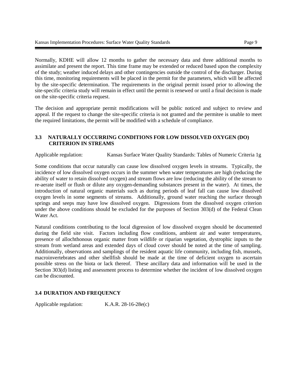Normally, KDHE will allow 12 months to gather the necessary data and three additional months to assimilate and present the report. This time frame may be extended or reduced based upon the complexity of the study; weather induced delays and other contingencies outside the control of the discharger. During this time, monitoring requirements will be placed in the permit for the parameters, which will be affected by the site-specific determination. The requirements in the original permit issued prior to allowing the site-specific criteria study will remain in effect until the permit is renewed or until a final decision is made on the site-specific criteria request.

The decision and appropriate permit modifications will be public noticed and subject to review and appeal. If the request to change the site-specific criteria is not granted and the permitee is unable to meet the required limitations, the permit will be modified with a schedule of compliance.

#### <span id="page-13-0"></span>**3.3 NATURALLY OCCURRING CONDITIONS FOR LOW DISSOLVED OXYGEN (DO) CRITERION IN STREAMS**

Applicable regulation: Kansas Surface Water Quality Standards: Tables of Numeric Criteria 1g

Some conditions that occur naturally can cause low dissolved oxygen levels in streams. Typically, the incidence of low dissolved oxygen occurs in the summer when water temperatures are high (reducing the ability of water to retain dissolved oxygen) and stream flows are low (reducing the ability of the stream to re-aerate itself or flush or dilute any oxygen-demanding substances present in the water). At times, the introduction of natural organic materials such as during periods of leaf fall can cause low dissolved oxygen levels in some segments of streams. Additionally, ground water reaching the surface through springs and seeps may have low dissolved oxygen. Digressions from the dissolved oxygen criterion under the above conditions should be excluded for the purposes of Section 303(d) of the Federal Clean Water Act.

Natural conditions contributing to the local digression of low dissolved oxygen should be documented during the field site visit. Factors including flow conditions, ambient air and water temperatures, presence of allochthonous organic matter from wildlife or riparian vegetation, dystrophic inputs to the stream from wetland areas and extended days of cloud cover should be noted at the time of sampling. Additionally, observations and samplings of the resident aquatic life community, including fish, mussels, macroinvertebrates and other shellfish should be made at the time of deficient oxygen to ascertain possible stress on the biota or lack thereof. These ancillary data and information will be used in the Section 303(d) listing and assessment process to determine whether the incident of low dissolved oxygen can be discounted.

#### <span id="page-13-1"></span>**3.4 DURATION AND FREQUENCY**

Applicable regulation: K.A.R. 28-16-28e(c)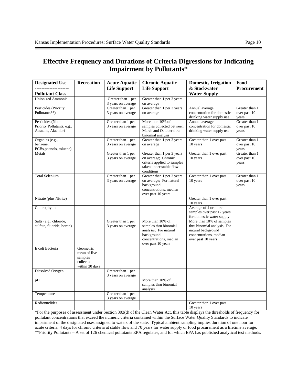### **Effective Frequency and Durations of Criteria Digressions for Indicating Impairment by Pollutants\***

| <b>Designated Use</b>                                                 | <b>Recreation</b>                                                   | <b>Acute Aquatic</b>                     | <b>Chronic Aquatic</b>                                                                                                           | <b>Domestic, Irrigation</b>                                                                                                   | Food                                    |
|-----------------------------------------------------------------------|---------------------------------------------------------------------|------------------------------------------|----------------------------------------------------------------------------------------------------------------------------------|-------------------------------------------------------------------------------------------------------------------------------|-----------------------------------------|
|                                                                       |                                                                     | <b>Life Support</b>                      | <b>Life Support</b>                                                                                                              | & Stockwater                                                                                                                  | <b>Procurement</b>                      |
| <b>Pollutant Class</b>                                                |                                                                     |                                          |                                                                                                                                  | <b>Water Supply</b>                                                                                                           |                                         |
| Unionized Ammonia                                                     |                                                                     | Greater than 1 per<br>3 years on average | Greater than 1 per 3 years<br>on average                                                                                         |                                                                                                                               |                                         |
| Pesticides (Priority<br>Pollutants**)                                 |                                                                     | Greater than 1 per<br>3 years on average | Greater than 1 per 3 years<br>on average                                                                                         | Annual average<br>concentration for domestic<br>drinking water supply use                                                     | Greater than 1<br>over past 10<br>years |
| Pesticides (Non-<br>Priority Pollutants, e.g.,<br>Atrazine, Alachlor) |                                                                     | Greater than 1 per<br>3 years on average | More than 10% of<br>samples collected between<br>March and October thru<br>binomial analysis                                     | Annual average<br>concentration for domestic<br>drinking water supply use                                                     | Greater than 1<br>over past 10<br>years |
| Organics (e.g.,<br>benzene,<br>PCBs, phenols, toluene)                |                                                                     | Greater than 1 per<br>3 years on average | Greater than 1 per 3 years<br>on average                                                                                         | Greater than 1 over past<br>10 years                                                                                          | Greater than 1<br>over past 10<br>vears |
| Metals                                                                |                                                                     | Greater than 1 per<br>3 years on average | Greater than 1 per 3 years<br>on average; Chronic<br>criteria applied to samples<br>taken under stable flow<br>conditions        | Greater than 1 over past<br>10 years                                                                                          | Greater than 1<br>over past 10<br>years |
| <b>Total Selenium</b>                                                 |                                                                     | Greater than 1 per<br>3 years on average | Greater than 1 per 3 years<br>on average; For natural<br>background<br>concentrations, median<br>over past 10 years              | Greater than 1 over past<br>10 years                                                                                          | Greater than 1<br>over past 10<br>years |
| Nitrate (plus Nitrite)                                                |                                                                     |                                          |                                                                                                                                  | Greater than 1 over past<br>10 years                                                                                          |                                         |
| Chlorophyll-a                                                         |                                                                     |                                          |                                                                                                                                  | Average of 4 or more<br>samples over past 12 years<br>for domestic water supply                                               |                                         |
| Salts (e.g., chloride,<br>sulfate, fluoride, boron)                   |                                                                     | Greater than 1 per<br>3 years on average | More than 10% of<br>samples thru binomial<br>analysis; For natural<br>background<br>concentrations, median<br>over past 10 years | More than 10% of samples<br>thru binomial analysis; For<br>natural background<br>concentrations, median<br>over past 10 years |                                         |
| E coli Bacteria                                                       | Geometric<br>mean of five<br>samples<br>collected<br>within 30 days |                                          |                                                                                                                                  |                                                                                                                               |                                         |
| Dissolved Oxygen                                                      |                                                                     | Greater than 1 per<br>3 years on average |                                                                                                                                  |                                                                                                                               |                                         |
| pH                                                                    |                                                                     |                                          | More than 10% of<br>samples thru binomial<br>analysis                                                                            |                                                                                                                               |                                         |
| Temperature                                                           |                                                                     | Greater than 1 per<br>3 years on average |                                                                                                                                  |                                                                                                                               |                                         |
| Radionuclides                                                         |                                                                     |                                          |                                                                                                                                  | Greater than 1 over past<br>10 years                                                                                          |                                         |

\*For the purposes of assessment under Section 303(d) of the Clean Water Act, this table displays the thresholds of frequency for pollutant concentrations that exceed the numeric criteria contained within the Surface Water Quality Standards to indicate impairment of the designated uses assigned to waters of the state. Typical ambient sampling implies duration of one hour for acute criteria, 4 days for chronic criteria at stable flow and 70 years for water supply or food procurement as a lifetime average. \*\*Priority Pollutants – A set of 126 chemical pollutants EPA regulates, and for which EPA has published analytical test methods.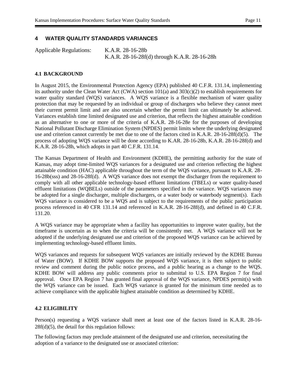#### <span id="page-15-0"></span>**4 WATER QUALITY STANDARDS VARIANCES**

Applicable Regulations: K.A.R. 28-16-28b K.A.R. 28-16-28f(d) through K.A.R. 28-16-28h

#### <span id="page-15-1"></span>**4.1 BACKGROUND**

In August 2015, the Environmental Protection Agency (EPA) published 40 C.F.R. 131.14, implementing its authority under the Clean Water Act (CWA) section  $101(a)$  and  $303(c)(2)$  to establish requirements for water quality standard (WQS) variances. A WQS variance is a flexible mechanism of water quality protection that may be requested by an individual or group of dischargers who believe they cannot meet their current permit limit and are also uncertain whether the permit limit can ultimately be achieved. Variances establish time limited designated use and criterion, that reflects the highest attainable condition as an alternative to one or more of the criteria of K.A.R. 28-16-28e for the purposes of developing National Pollutant Discharge Elimination System (NPDES) permit limits where the underlying designated use and criterion cannot currently be met due to one of the factors cited in K.A.R. 28-16-28f(d)(5). The process of adopting WQS variance will be done according to K.AR. 28-16-28b, K.A.R. 28-16-28f(d) and K.A.R. 28-16-28h, which adopts in part 40 C.F.R. 131.14.

The Kansas Department of Health and Environment (KDHE), the permitting authority for the state of Kansas, may adopt time-limited WQS variances for a designated use and criterion reflecting the highest attainable condition (HAC) applicable throughout the term of the WQS variance, pursuant to K.A.R. 28- 16-28b(sss) and 28-16-28f(d). A WQS variance does not exempt the discharger from the requirement to comply with all other applicable technology-based effluent limitations (TBELs) or water quality-based effluent limitations (WQBELs) outside of the parameters specified in the variance. WQS variances may be adopted for a single discharger, multiple dischargers, or a water body or waterbody segment(s). Each WQS variance is considered to be a WQS and is subject to the requirements of the public participation process referenced in 40 CFR 131.14 and referenced in K.A.R. 28-16-28f(d), and defined in 40 C.F.R. 131.20.

A WQS variance may be appropriate when a facility has opportunities to improve water quality, but the timeframe is uncertain as to when the criteria will be consistently met. A WQS variance will not be adopted if the underlying designated use and criterion of the proposed WQS variance can be achieved by implementing technology-based effluent limits.

WQS variances and requests for subsequent WQS variances are initially reviewed by the KDHE Bureau of Water (BOW). If KDHE BOW supports the proposed WQS variance, it is then subject to public review and comment during the public notice process, and a public hearing as a change to the WQS. KDHE BOW will address any public comments prior to submittal to U.S. EPA Region 7 for final approval. Once EPA Region 7 has granted final approval of the WQS variance, NPDES permit(s) with the WQS variance can be issued. Each WQS variance is granted for the minimum time needed as to achieve compliance with the applicable highest attainable condition as determined by KDHE.

#### <span id="page-15-2"></span>**4.2 ELIGIBILITY**

Person(s) requesting a WQS variance shall meet at least one of the factors listed in K.A.R. 28-16-  $28f(d)(5)$ , the detail for this regulation follows:

The following factors may preclude attainment of the designated use and criterion, necessitating the adoption of a variance to the designated use or associated criterion: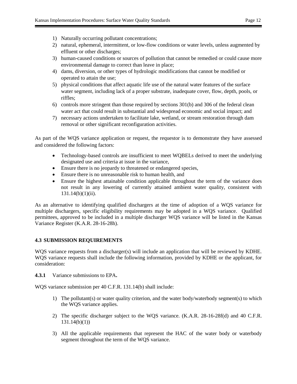- 1) Naturally occurring pollutant concentrations;
- 2) natural, ephemeral, intermittent, or low-flow conditions or water levels, unless augmented by effluent or other discharges;
- 3) human-caused conditions or sources of pollution that cannot be remedied or could cause more environmental damage to correct than leave in place;
- 4) dams, diversion, or other types of hydrologic modifications that cannot be modified or operated to attain the use;
- 5) physical conditions that affect aquatic life use of the natural water features of the surface water segment, including lack of a proper substrate, inadequate cover, flow, depth, pools, or riffles;
- 6) controls more stringent than those required by sections 301(b) and 306 of the federal clean water act that could result in substantial and widespread economic and social impact; and
- 7) necessary actions undertaken to facilitate lake, wetland, or stream restoration through dam removal or other significant reconfiguration activities.

As part of the WQS variance application or request, the requestor is to demonstrate they have assessed and considered the following factors:

- Technology-based controls are insufficient to meet WQBELs derived to meet the underlying designated use and criteria at issue in the variance,
- Ensure there is no jeopardy to threatened or endangered species,
- Ensure there is no unreasonable risk to human health, and
- Ensure the highest attainable condition applicable throughout the term of the variance does not result in any lowering of currently attained ambient water quality, consistent with 131.14(b)(1)(ii).

As an alternative to identifying qualified dischargers at the time of adoption of a WQS variance for multiple dischargers, specific eligibility requirements may be adopted in a WQS variance. Qualified permittees, approved to be included in a multiple discharger WQS variance will be listed in the Kansas Variance Register (K.A.R. 28-16-28h).

#### <span id="page-16-0"></span>**4.3 SUBMISSION REQUIREMENTS**

WQS variance requests from a discharger(s) will include an application that will be reviewed by KDHE. WQS variance requests shall include the following information, provided by KDHE or the applicant, for consideration:

<span id="page-16-1"></span>**4.3.1** Variance submissions to EPA**.** 

WQS variance submission per 40 C.F.R. 131.14(b) shall include:

- 1) The pollutant(s) or water quality criterion, and the water body/waterbody segment(s) to which the WQS variance applies.
- 2) The specific discharger subject to the WQS variance. (K.A.R. 28-16-28f(d) and 40 C.F.R. 131.14(b)(1))
- 3) All the applicable requirements that represent the HAC of the water body or waterbody segment throughout the term of the WQS variance.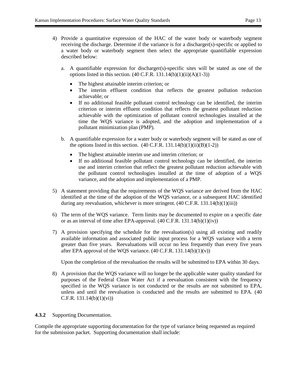- 4) Provide a quantitative expression of the HAC of the water body or waterbody segment receiving the discharge. Determine if the variance is for a discharger(s)-specific or applied to a water body or waterbody segment then select the appropriate quantifiable expression described below:
	- a. A quantifiable expression for discharger(s)-specific sites will be stated as one of the options listed in this section.  $(40 \text{ C.F.R. } 131.14(b)(1)(ii)(A)(1-3))$ 
		- The highest attainable interim criterion; or
		- The interim effluent condition that reflects the greatest pollution reduction achievable; or
		- If no additional feasible pollutant control technology can be identified, the interim criterion or interim effluent condition that reflects the greatest pollutant reduction achievable with the optimization of pollutant control technologies installed at the time the WQS variance is adopted, and the adoption and implementation of a pollutant minimization plan (PMP).
	- b. A quantifiable expression for a water body or waterbody segment will be stated as one of the options listed in this section.  $(40 \text{ C.F.R. } 131.14(b)(1)(ii)(B)(1-2))$ 
		- The highest attainable interim use and interim criterion; or
		- If no additional feasible pollutant control technology can be identified, the interim use and interim criterion that reflect the greatest pollutant reduction achievable with the pollutant control technologies installed at the time of adoption of a WQS variance, and the adoption and implementation of a PMP.
- 5) A statement providing that the requirements of the WQS variance are derived from the HAC identified at the time of the adoption of the WQS variance, or a subsequent HAC identified during any reevaluation, whichever is more stringent.  $(40 \text{ C.F.R. } 131.14(b)(1)(iii))$
- 6) The term of the WQS variance. Term limits may be documented to expire on a specific date or as an interval of time after EPA-approval. (40 C.F.R. 131.14(b)(1)(iv))
- 7) A provision specifying the schedule for the reevaluation(s) using all existing and readily available information and associated public input process for a WQS variance with a term greater than five years. Reevaluations will occur no less frequently than every five years after EPA approval of the WQS variance.  $(40 \text{ C.F.R. } 131.14(b)(1)(v))$

Upon the completion of the reevaluation the results will be submitted to EPA within 30 days.

- 8) A provision that the WQS variance will no longer be the applicable water quality standard for purposes of the Federal Clean Water Act if a reevaluation consistent with the frequency specified in the WQS variance is not conducted or the results are not submitted to EPA, unless and until the reevaluation is conducted and the results are submitted to EPA. (40 C.F.R. 131.14(b)(1)(vi))
- <span id="page-17-0"></span>**4.3.2** Supporting Documentation.

Compile the appropriate supporting documentation for the type of variance being requested as required for the submission packet. Supporting documentation shall include: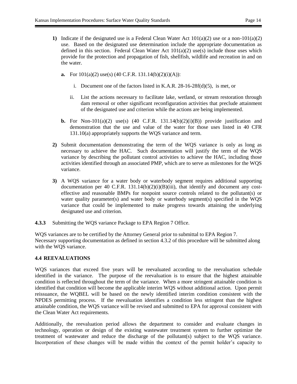- **1)** Indicate if the designated use is a Federal Clean Water Act  $101(a)(2)$  use or a non- $101(a)(2)$ use. Based on the designated use determination include the appropriate documentation as defined in this section. Federal Clean Water Act  $101(a)(2)$  use(s) include those uses which provide for the protection and propagation of fish, shellfish, wildlife and recreation in and on the water.
	- **a.** For 101(a)(2) use(s) (40 C.F.R. 131.14(b)(2)(i)(A)):
		- i. Document one of the factors listed in K.A.R.  $28-16-28f(d)(5)$ , is met, or
		- ii. List the actions necessary to facilitate lake, wetland, or stream restoration through dam removal or other significant reconfiguration activities that preclude attainment of the designated use and criterion while the actions are being implemented.
	- **b.** For Non-101(a)(2) use(s) (40 C.F.R. 131.14(b)(2)(i)(B)) provide justification and demonstration that the use and value of the water for those uses listed in 40 CFR 131.10(a) appropriately supports the WQS variance and term.
- **2)** Submit documentation demonstrating the term of the WQS variance is only as long as necessary to achieve the HAC. Such documentation will justify the term of the WQS variance by describing the pollutant control activities to achieve the HAC, including those activities identified through an associated PMP, which are to serve as milestones for the WQS variance.
- **3)** A WQS variance for a water body or waterbody segment requires additional supporting documentation per 40 C.F.R. 131.14(b)(2)(i)(B)(iii), that identify and document any costeffective and reasonable BMPs for nonpoint source controls related to the pollutant(s) or water quality parameter(s) and water body or waterbody segment(s) specified in the WQS variance that could be implemented to make progress towards attaining the underlying designated use and criterion.
- <span id="page-18-0"></span>**4.3.3** Submitting the WQS variance Package to EPA Region 7 Office.

WQS variances are to be certified by the Attorney General prior to submittal to EPA Region 7. Necessary supporting documentation as defined in section 4.3.2 of this procedure will be submitted along with the WQS variance.

#### <span id="page-18-1"></span>**4.4 REEVALUATIONS**

WQS variances that exceed five years will be reevaluated according to the reevaluation schedule identified in the variance. The purpose of the reevaluation is to ensure that the highest attainable condition is reflected throughout the term of the variance. When a more stringent attainable condition is identified that condition will become the applicable interim WQS without additional action. Upon permit reissuance, the WQBEL will be based on the newly identified interim condition consistent with the NPDES permitting process. If the reevaluation identifies a condition less stringent than the highest attainable condition, the WQS variance will be revised and submitted to EPA for approval consistent with the Clean Water Act requirements.

Additionally, the reevaluation period allows the department to consider and evaluate changes in technology, operation or design of the existing wastewater treatment system to further optimize the treatment of wastewater and reduce the discharge of the pollutant(s) subject to the WQS variance. Incorporation of these changes will be made within the context of the permit holder's capacity to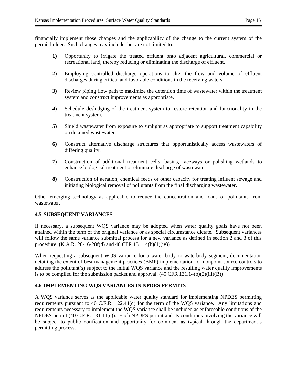financially implement those changes and the applicability of the change to the current system of the permit holder. Such changes may include, but are not limited to:

- **1)** Opportunity to irrigate the treated effluent onto adjacent agricultural, commercial or recreational land, thereby reducing or eliminating the discharge of effluent.
- **2)** Employing controlled discharge operations to alter the flow and volume of effluent discharges during critical and favorable conditions in the receiving waters.
- **3)** Review piping flow path to maximize the detention time of wastewater within the treatment system and construct improvements as appropriate.
- **4)** Schedule desludging of the treatment system to restore retention and functionality in the treatment system.
- **5)** Shield wastewater from exposure to sunlight as appropriate to support treatment capability on detained wastewater.
- **6)** Construct alternative discharge structures that opportunistically access wastewaters of differing quality.
- **7)** Construction of additional treatment cells, basins, raceways or polishing wetlands to enhance biological treatment or eliminate discharge of wastewater.
- **8)** Construction of aeration, chemical feeds or other capacity for treating influent sewage and initiating biological removal of pollutants from the final discharging wastewater.

Other emerging technology as applicable to reduce the concentration and loads of pollutants from wastewater.

#### <span id="page-19-0"></span>**4.5 SUBSEQUENT VARIANCES**

If necessary, a subsequent WQS variance may be adopted when water quality goals have not been attained within the term of the original variance or as special circumstance dictate. Subsequent variances will follow the same variance submittal process for a new variance as defined in section 2 and 3 of this procedure. (K.A.R. 28-16-28f(d) and 40 CFR 131.14(b)(1)(iv))

When requesting a subsequent WQS variance for a water body or waterbody segment, documentation detailing the extent of best management practices (BMP) implementation for nonpoint source controls to address the pollutant(s) subject to the initial WQS variance and the resulting water quality improvements is to be compiled for the submission packet and approval.  $(40 \text{ CFR } 131.14(b)(2)(iii)(B))$ 

#### <span id="page-19-1"></span>**4.6 IMPLEMENTING WQS VARIANCES IN NPDES PERMITS**

A WQS variance serves as the applicable water quality standard for implementing NPDES permitting requirements pursuant to 40 C.F.R. 122.44(d) for the term of the WQS variance. Any limitations and requirements necessary to implement the WQS variance shall be included as enforceable conditions of the NPDES permit (40 C.F.R. 131.14(c)). Each NPDES permit and its conditions involving the variance will be subject to public notification and opportunity for comment as typical through the department's permitting process.